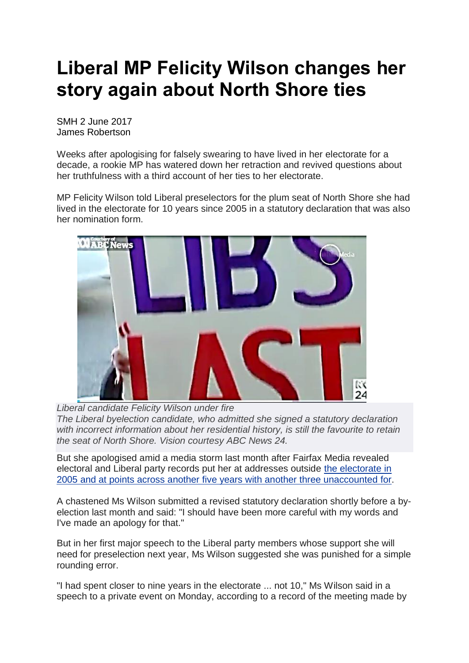## **Liberal MP Felicity Wilson changes her story again about North Shore ties**

SMH 2 June 2017 James Robertson

Weeks after apologising for falsely swearing to have lived in her electorate for a decade, a rookie MP has watered down her retraction and revived questions about her truthfulness with a third account of her ties to her electorate.

MP Felicity Wilson told Liberal preselectors for the plum seat of North Shore she had lived in the electorate for 10 years since 2005 in a statutory declaration that was also her nomination form.



*Liberal candidate Felicity Wilson under fire The Liberal byelection candidate, who admitted she signed a statutory declaration with incorrect information about her residential history, is still the favourite to retain the seat of North Shore. Vision courtesy ABC News 24.*

But she apologised amid a media storm last month after Fairfax Media revealed electoral and Liberal party records put her at addresses outside the [electorate](http://www.smh.com.au/nsw/north-shore-liberal-candidate-felicity-wilson-backtracks-on-claim-about-her-link-to-the-seat-20170404-gvd2vf.html) in 2005 and at points across another five years with another three [unaccounted](http://www.smh.com.au/nsw/north-shore-liberal-candidate-felicity-wilson-backtracks-on-claim-about-her-link-to-the-seat-20170404-gvd2vf.html) for.

A chastened Ms Wilson submitted a revised statutory declaration shortly before a byelection last month and said: "I should have been more careful with my words and I've made an apology for that."

But in her first major speech to the Liberal party members whose support she will need for preselection next year, Ms Wilson suggested she was punished for a simple rounding error.

"I had spent closer to nine years in the electorate ... not 10," Ms Wilson said in a speech to a private event on Monday, according to a record of the meeting made by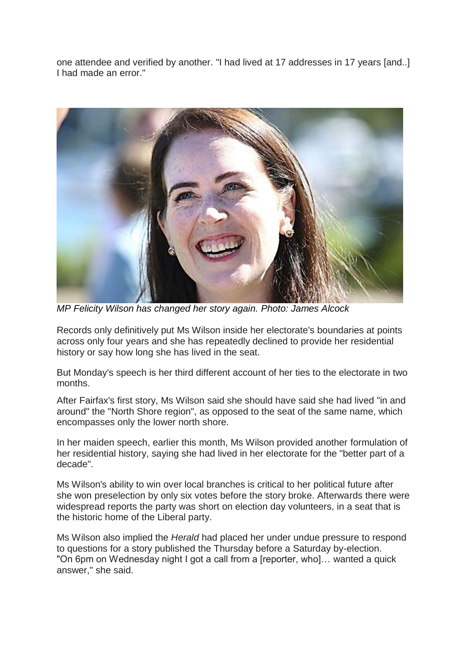one attendee and verified by another. "I had lived at 17 addresses in 17 years [and..] I had made an error."



*MP Felicity Wilson has changed her story again. Photo: James Alcock*

Records only definitively put Ms Wilson inside her electorate's boundaries at points across only four years and she has repeatedly declined to provide her residential history or say how long she has lived in the seat.

But Monday's speech is her third different account of her ties to the electorate in two months.

After Fairfax's first story, Ms Wilson said she should have said she had lived "in and around" the "North Shore region", as opposed to the seat of the same name, which encompasses only the lower north shore.

In her maiden speech, earlier this month, Ms Wilson provided another formulation of her residential history, saying she had lived in her electorate for the "better part of a decade".

Ms Wilson's ability to win over local branches is critical to her political future after she won preselection by only six votes before the story broke. Afterwards there were widespread reports the party was short on election day volunteers, in a seat that is the historic home of the Liberal party.

Ms Wilson also implied the *Herald* had placed her under undue pressure to respond to questions for a story published the Thursday before a Saturday by-election. "On 6pm on Wednesday night I got a call from a [reporter, who]… wanted a quick answer," she said.